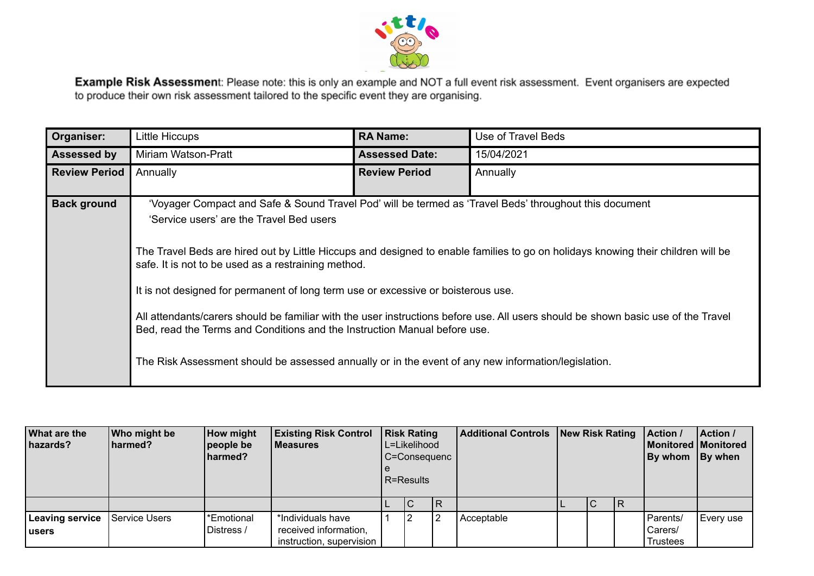

Example Risk Assessment: Please note: this is only an example and NOT a full event risk assessment. Event organisers are expected to produce their own risk assessment tailored to the specific event they are organising.

| Organiser:           | Little Hiccups                                                                                                                                                                                                                                                                                                                                                                                                                                                                     | <b>RA Name:</b>       | Use of Travel Beds                                                                                                                                                                                                                                                    |
|----------------------|------------------------------------------------------------------------------------------------------------------------------------------------------------------------------------------------------------------------------------------------------------------------------------------------------------------------------------------------------------------------------------------------------------------------------------------------------------------------------------|-----------------------|-----------------------------------------------------------------------------------------------------------------------------------------------------------------------------------------------------------------------------------------------------------------------|
| <b>Assessed by</b>   | Miriam Watson-Pratt                                                                                                                                                                                                                                                                                                                                                                                                                                                                | <b>Assessed Date:</b> | 15/04/2021                                                                                                                                                                                                                                                            |
| <b>Review Period</b> | Annually                                                                                                                                                                                                                                                                                                                                                                                                                                                                           | <b>Review Period</b>  | Annually                                                                                                                                                                                                                                                              |
| <b>Back ground</b>   | 'Voyager Compact and Safe & Sound Travel Pod' will be termed as 'Travel Beds' throughout this document<br>'Service users' are the Travel Bed users<br>safe. It is not to be used as a restraining method.<br>It is not designed for permanent of long term use or excessive or boisterous use.<br>Bed, read the Terms and Conditions and the Instruction Manual before use.<br>The Risk Assessment should be assessed annually or in the event of any new information/legislation. |                       | The Travel Beds are hired out by Little Hiccups and designed to enable families to go on holidays knowing their children will be<br>All attendants/carers should be familiar with the user instructions before use. All users should be shown basic use of the Travel |

| <b>What are the</b><br>hazards? | Who might be<br>harmed? | How might<br>people be<br>harmed? | <b>Existing Risk Control</b><br>l Measures        | <b>Risk Rating</b> | L=Likelihood<br>C=Consequenc<br>R=Results |    | <b>Additional Controls New Risk Rating</b> |  |     | Action /<br><b>Monitored Monitored</b><br>By whom By when | Action /  |
|---------------------------------|-------------------------|-----------------------------------|---------------------------------------------------|--------------------|-------------------------------------------|----|--------------------------------------------|--|-----|-----------------------------------------------------------|-----------|
|                                 |                         |                                   |                                                   |                    | IС                                        | IR |                                            |  | IR. |                                                           |           |
| Leaving service                 | Service Users           | *Emotional                        | *Individuals have                                 |                    |                                           | l2 | Acceptable                                 |  |     | Parents/                                                  | Every use |
| l users                         |                         | Distress /                        | received information,<br>instruction, supervision |                    |                                           |    |                                            |  |     | Carers/<br><b>Trustees</b>                                |           |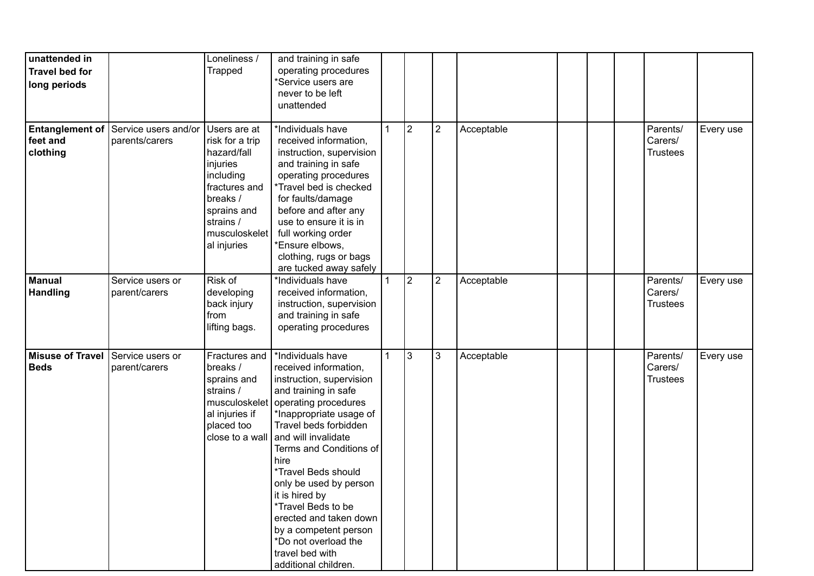| unattended in<br><b>Travel bed for</b><br>long periods |                                                               | Loneliness /<br><b>Trapped</b>                                                                                                                                   | and training in safe<br>operating procedures<br>*Service users are<br>never to be left<br>unattended                                                                                                                                                                                                                                                                                                                                                |              |                |                |            |  |                                        |           |
|--------------------------------------------------------|---------------------------------------------------------------|------------------------------------------------------------------------------------------------------------------------------------------------------------------|-----------------------------------------------------------------------------------------------------------------------------------------------------------------------------------------------------------------------------------------------------------------------------------------------------------------------------------------------------------------------------------------------------------------------------------------------------|--------------|----------------|----------------|------------|--|----------------------------------------|-----------|
| feet and<br>clothing                                   | <b>Entanglement of Service users and/or</b><br>parents/carers | Users are at<br>risk for a trip<br>hazard/fall<br>injuries<br>including<br>fractures and<br>breaks /<br>sprains and<br>strains /<br>musculoskelet<br>al injuries | *Individuals have<br>received information,<br>instruction, supervision<br>and training in safe<br>operating procedures<br>*Travel bed is checked<br>for faults/damage<br>before and after any<br>use to ensure it is in<br>full working order<br>*Ensure elbows,<br>clothing, rugs or bags<br>are tucked away safely                                                                                                                                | 1            | $\overline{2}$ | $\overline{2}$ | Acceptable |  | Parents/<br>Carers/<br><b>Trustees</b> | Every use |
| <b>Manual</b><br><b>Handling</b>                       | Service users or<br>parent/carers                             | Risk of<br>developing<br>back injury<br>from<br>lifting bags.                                                                                                    | *Individuals have<br>received information,<br>instruction, supervision<br>and training in safe<br>operating procedures                                                                                                                                                                                                                                                                                                                              | $\mathbf{1}$ | $\overline{2}$ | $\overline{2}$ | Acceptable |  | Parents/<br>Carers/<br><b>Trustees</b> | Every use |
| <b>Misuse of Travel</b><br><b>Beds</b>                 | Service users or<br>parent/carers                             | Fractures and<br>breaks /<br>sprains and<br>strains /<br>musculoskelet<br>al injuries if<br>placed too<br>close to a wall                                        | *Individuals have<br>received information,<br>instruction, supervision<br>and training in safe<br>operating procedures<br>*Inappropriate usage of<br>Travel beds forbidden<br>and will invalidate<br>Terms and Conditions of<br>hire<br>*Travel Beds should<br>only be used by person<br>it is hired by<br>*Travel Beds to be<br>erected and taken down<br>by a competent person<br>*Do not overload the<br>travel bed with<br>additional children. | $\mathbf{1}$ | 3              | 3              | Acceptable |  | Parents/<br>Carers/<br><b>Trustees</b> | Every use |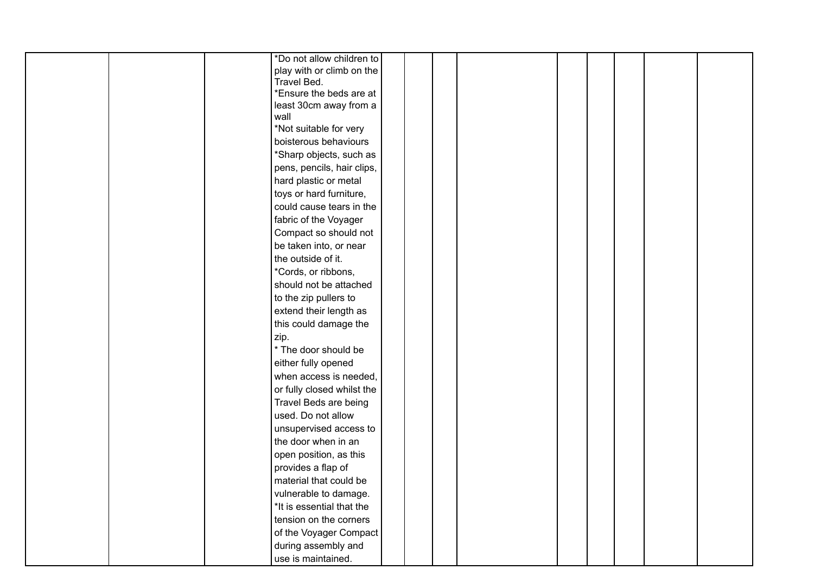|  |  | *Do not allow children to  |  |  |  |  |  |
|--|--|----------------------------|--|--|--|--|--|
|  |  | play with or climb on the  |  |  |  |  |  |
|  |  | Travel Bed.                |  |  |  |  |  |
|  |  | *Ensure the beds are at    |  |  |  |  |  |
|  |  | least 30cm away from a     |  |  |  |  |  |
|  |  | wall                       |  |  |  |  |  |
|  |  | *Not suitable for very     |  |  |  |  |  |
|  |  | boisterous behaviours      |  |  |  |  |  |
|  |  | *Sharp objects, such as    |  |  |  |  |  |
|  |  | pens, pencils, hair clips, |  |  |  |  |  |
|  |  | hard plastic or metal      |  |  |  |  |  |
|  |  | toys or hard furniture,    |  |  |  |  |  |
|  |  | could cause tears in the   |  |  |  |  |  |
|  |  | fabric of the Voyager      |  |  |  |  |  |
|  |  | Compact so should not      |  |  |  |  |  |
|  |  | be taken into, or near     |  |  |  |  |  |
|  |  | the outside of it.         |  |  |  |  |  |
|  |  | *Cords, or ribbons,        |  |  |  |  |  |
|  |  | should not be attached     |  |  |  |  |  |
|  |  | to the zip pullers to      |  |  |  |  |  |
|  |  | extend their length as     |  |  |  |  |  |
|  |  | this could damage the      |  |  |  |  |  |
|  |  | zip.                       |  |  |  |  |  |
|  |  | * The door should be       |  |  |  |  |  |
|  |  | either fully opened        |  |  |  |  |  |
|  |  | when access is needed,     |  |  |  |  |  |
|  |  | or fully closed whilst the |  |  |  |  |  |
|  |  | Travel Beds are being      |  |  |  |  |  |
|  |  | used. Do not allow         |  |  |  |  |  |
|  |  | unsupervised access to     |  |  |  |  |  |
|  |  | the door when in an        |  |  |  |  |  |
|  |  | open position, as this     |  |  |  |  |  |
|  |  | provides a flap of         |  |  |  |  |  |
|  |  | material that could be     |  |  |  |  |  |
|  |  | vulnerable to damage.      |  |  |  |  |  |
|  |  | *It is essential that the  |  |  |  |  |  |
|  |  | tension on the corners     |  |  |  |  |  |
|  |  | of the Voyager Compact     |  |  |  |  |  |
|  |  | during assembly and        |  |  |  |  |  |
|  |  | use is maintained.         |  |  |  |  |  |
|  |  |                            |  |  |  |  |  |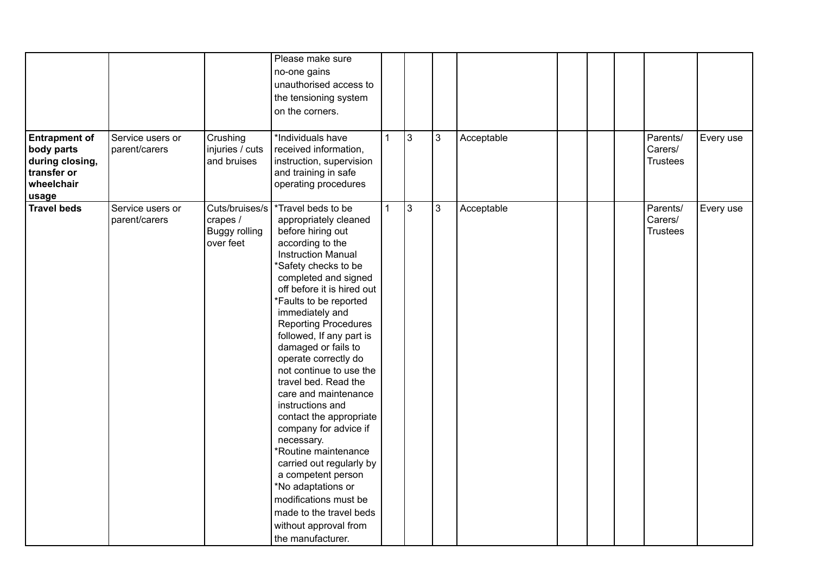| <b>Entrapment of</b><br>body parts<br>during closing,<br>transfer or<br>wheelchair | Service users or<br>parent/carers | Crushing<br>injuries / cuts<br>and bruises               | Please make sure<br>no-one gains<br>unauthorised access to<br>the tensioning system<br>on the corners.<br>*Individuals have<br>received information,<br>instruction, supervision<br>and training in safe<br>operating procedures                                                                                                                                                                                                                                                                                                                                                                                                                                                                                          | $\mathbf{1}$ | 3  | $\mathbf{3}$ | Acceptable |  | Parents/<br>Carers/<br><b>Trustees</b> | Every use |
|------------------------------------------------------------------------------------|-----------------------------------|----------------------------------------------------------|---------------------------------------------------------------------------------------------------------------------------------------------------------------------------------------------------------------------------------------------------------------------------------------------------------------------------------------------------------------------------------------------------------------------------------------------------------------------------------------------------------------------------------------------------------------------------------------------------------------------------------------------------------------------------------------------------------------------------|--------------|----|--------------|------------|--|----------------------------------------|-----------|
| usage<br><b>Travel beds</b>                                                        | Service users or<br>parent/carers | Cuts/bruises/s<br>crapes /<br>Buggy rolling<br>over feet | *Travel beds to be<br>appropriately cleaned<br>before hiring out<br>according to the<br><b>Instruction Manual</b><br>*Safety checks to be<br>completed and signed<br>off before it is hired out<br>*Faults to be reported<br>immediately and<br><b>Reporting Procedures</b><br>followed, If any part is<br>damaged or fails to<br>operate correctly do<br>not continue to use the<br>travel bed. Read the<br>care and maintenance<br>instructions and<br>contact the appropriate<br>company for advice if<br>necessary.<br>*Routine maintenance<br>carried out regularly by<br>a competent person<br>*No adaptations or<br>modifications must be<br>made to the travel beds<br>without approval from<br>the manufacturer. | $\mathbf 1$  | Ιз | 3            | Acceptable |  | Parents/<br>Carers/<br><b>Trustees</b> | Every use |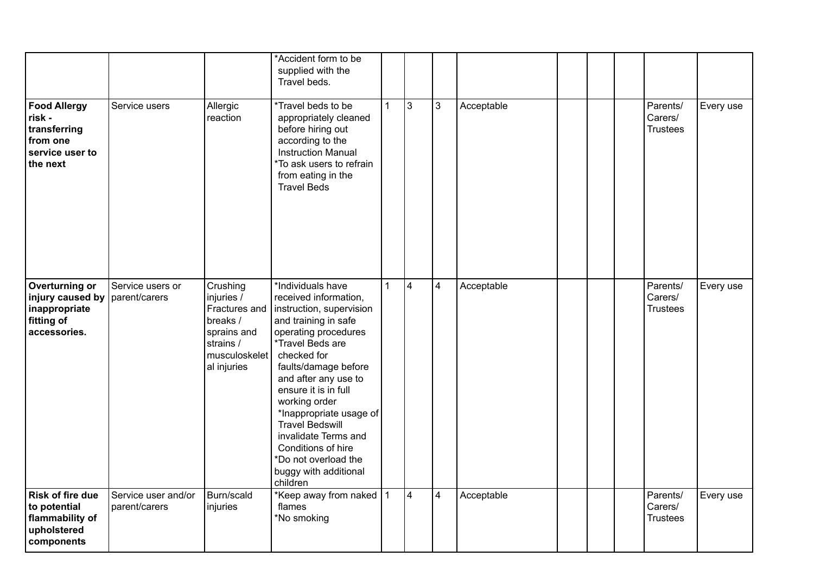|                                                                                          |                                      |                                                                                                                 | *Accident form to be<br>supplied with the<br>Travel beds.                                                                                                                                                                                                                                                                                                                                                          |              |                         |                |            |  |                                        |           |
|------------------------------------------------------------------------------------------|--------------------------------------|-----------------------------------------------------------------------------------------------------------------|--------------------------------------------------------------------------------------------------------------------------------------------------------------------------------------------------------------------------------------------------------------------------------------------------------------------------------------------------------------------------------------------------------------------|--------------|-------------------------|----------------|------------|--|----------------------------------------|-----------|
| <b>Food Allergy</b><br>risk -<br>transferring<br>from one<br>service user to<br>the next | Service users                        | Allergic<br>reaction                                                                                            | *Travel beds to be<br>appropriately cleaned<br>before hiring out<br>according to the<br><b>Instruction Manual</b><br>*To ask users to refrain<br>from eating in the<br><b>Travel Beds</b>                                                                                                                                                                                                                          | $\mathbf{1}$ | 3                       | 3              | Acceptable |  | Parents/<br>Carers/<br><b>Trustees</b> | Every use |
| Overturning or<br>injury caused by<br>inappropriate<br>fitting of<br>accessories.        | Service users or<br>parent/carers    | Crushing<br>injuries /<br>Fractures and<br>breaks /<br>sprains and<br>strains /<br>musculoskelet<br>al injuries | *Individuals have<br>received information,<br>instruction, supervision<br>and training in safe<br>operating procedures<br>*Travel Beds are<br>checked for<br>faults/damage before<br>and after any use to<br>ensure it is in full<br>working order<br>*Inappropriate usage of<br><b>Travel Bedswill</b><br>invalidate Terms and<br>Conditions of hire<br>*Do not overload the<br>buggy with additional<br>children | $\mathbf{1}$ | $\overline{\mathbf{4}}$ | $\overline{4}$ | Acceptable |  | Parents/<br>Carers/<br><b>Trustees</b> | Every use |
| <b>Risk of fire due</b><br>to potential<br>flammability of<br>upholstered<br>components  | Service user and/or<br>parent/carers | Burn/scald<br>injuries                                                                                          | *Keep away from naked 1<br>flames<br>*No smoking                                                                                                                                                                                                                                                                                                                                                                   |              | 4                       | $\overline{4}$ | Acceptable |  | Parents/<br>Carers/<br><b>Trustees</b> | Every use |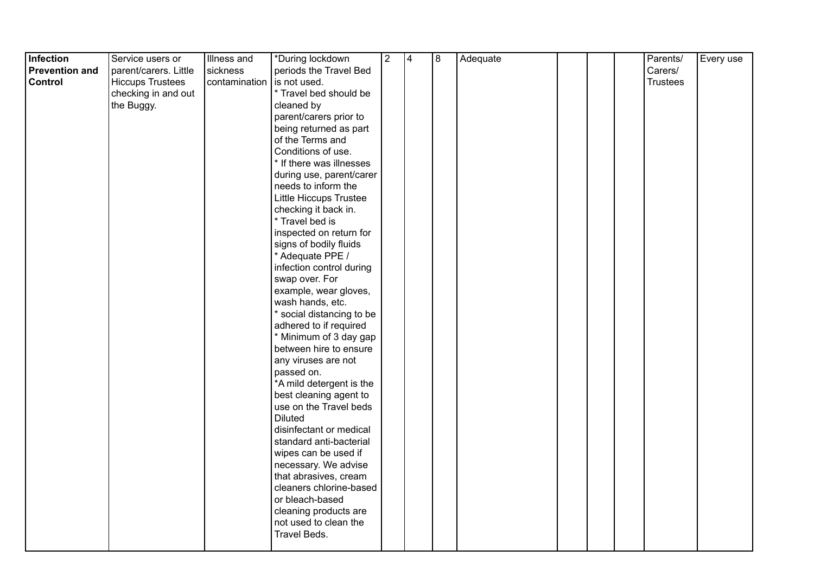| Infection             | Service users or        | Illness and   | *During lockdown                                 | $\overline{2}$ | 4 | 8 | Adequate |  | Parents/        | Every use |
|-----------------------|-------------------------|---------------|--------------------------------------------------|----------------|---|---|----------|--|-----------------|-----------|
| <b>Prevention and</b> | parent/carers. Little   | sickness      | periods the Travel Bed                           |                |   |   |          |  | Carers/         |           |
| <b>Control</b>        | <b>Hiccups Trustees</b> | contamination | is not used.                                     |                |   |   |          |  | <b>Trustees</b> |           |
|                       | checking in and out     |               | * Travel bed should be                           |                |   |   |          |  |                 |           |
|                       | the Buggy.              |               | cleaned by                                       |                |   |   |          |  |                 |           |
|                       |                         |               | parent/carers prior to                           |                |   |   |          |  |                 |           |
|                       |                         |               | being returned as part                           |                |   |   |          |  |                 |           |
|                       |                         |               | of the Terms and                                 |                |   |   |          |  |                 |           |
|                       |                         |               | Conditions of use.                               |                |   |   |          |  |                 |           |
|                       |                         |               | * If there was illnesses                         |                |   |   |          |  |                 |           |
|                       |                         |               | during use, parent/carer                         |                |   |   |          |  |                 |           |
|                       |                         |               | needs to inform the                              |                |   |   |          |  |                 |           |
|                       |                         |               | Little Hiccups Trustee                           |                |   |   |          |  |                 |           |
|                       |                         |               | checking it back in.                             |                |   |   |          |  |                 |           |
|                       |                         |               | * Travel bed is                                  |                |   |   |          |  |                 |           |
|                       |                         |               | inspected on return for                          |                |   |   |          |  |                 |           |
|                       |                         |               | signs of bodily fluids                           |                |   |   |          |  |                 |           |
|                       |                         |               | * Adequate PPE /                                 |                |   |   |          |  |                 |           |
|                       |                         |               | infection control during                         |                |   |   |          |  |                 |           |
|                       |                         |               | swap over. For                                   |                |   |   |          |  |                 |           |
|                       |                         |               | example, wear gloves,                            |                |   |   |          |  |                 |           |
|                       |                         |               | wash hands, etc.                                 |                |   |   |          |  |                 |           |
|                       |                         |               | * social distancing to be                        |                |   |   |          |  |                 |           |
|                       |                         |               | adhered to if required                           |                |   |   |          |  |                 |           |
|                       |                         |               | * Minimum of 3 day gap                           |                |   |   |          |  |                 |           |
|                       |                         |               | between hire to ensure                           |                |   |   |          |  |                 |           |
|                       |                         |               | any viruses are not                              |                |   |   |          |  |                 |           |
|                       |                         |               | passed on.                                       |                |   |   |          |  |                 |           |
|                       |                         |               | *A mild detergent is the                         |                |   |   |          |  |                 |           |
|                       |                         |               | best cleaning agent to                           |                |   |   |          |  |                 |           |
|                       |                         |               | use on the Travel beds                           |                |   |   |          |  |                 |           |
|                       |                         |               | <b>Diluted</b>                                   |                |   |   |          |  |                 |           |
|                       |                         |               | disinfectant or medical                          |                |   |   |          |  |                 |           |
|                       |                         |               | standard anti-bacterial                          |                |   |   |          |  |                 |           |
|                       |                         |               | wipes can be used if                             |                |   |   |          |  |                 |           |
|                       |                         |               | necessary. We advise                             |                |   |   |          |  |                 |           |
|                       |                         |               | that abrasives, cream<br>cleaners chlorine-based |                |   |   |          |  |                 |           |
|                       |                         |               | or bleach-based                                  |                |   |   |          |  |                 |           |
|                       |                         |               | cleaning products are                            |                |   |   |          |  |                 |           |
|                       |                         |               | not used to clean the                            |                |   |   |          |  |                 |           |
|                       |                         |               | Travel Beds.                                     |                |   |   |          |  |                 |           |
|                       |                         |               |                                                  |                |   |   |          |  |                 |           |